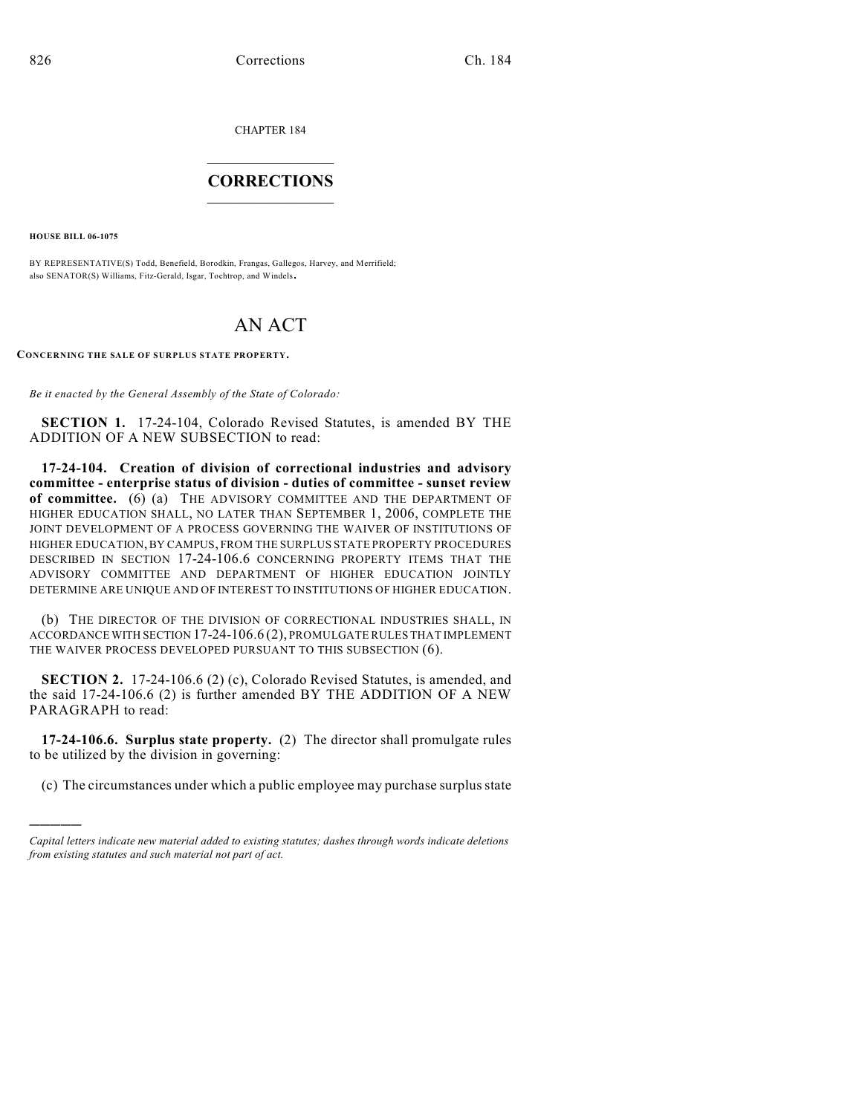CHAPTER 184

## $\overline{\phantom{a}}$  . The set of the set of the set of the set of the set of the set of the set of the set of the set of the set of the set of the set of the set of the set of the set of the set of the set of the set of the set o **CORRECTIONS**  $\frac{1}{2}$  ,  $\frac{1}{2}$  ,  $\frac{1}{2}$  ,  $\frac{1}{2}$  ,  $\frac{1}{2}$  ,  $\frac{1}{2}$

**HOUSE BILL 06-1075**

)))))

BY REPRESENTATIVE(S) Todd, Benefield, Borodkin, Frangas, Gallegos, Harvey, and Merrifield; also SENATOR(S) Williams, Fitz-Gerald, Isgar, Tochtrop, and Windels.

## AN ACT

**CONCERNING THE SALE OF SURPLUS STATE PROPERTY.**

*Be it enacted by the General Assembly of the State of Colorado:*

**SECTION 1.** 17-24-104, Colorado Revised Statutes, is amended BY THE ADDITION OF A NEW SUBSECTION to read:

**17-24-104. Creation of division of correctional industries and advisory committee - enterprise status of division - duties of committee - sunset review of committee.** (6) (a) THE ADVISORY COMMITTEE AND THE DEPARTMENT OF HIGHER EDUCATION SHALL, NO LATER THAN SEPTEMBER 1, 2006, COMPLETE THE JOINT DEVELOPMENT OF A PROCESS GOVERNING THE WAIVER OF INSTITUTIONS OF HIGHER EDUCATION, BY CAMPUS, FROM THE SURPLUS STATE PROPERTY PROCEDURES DESCRIBED IN SECTION 17-24-106.6 CONCERNING PROPERTY ITEMS THAT THE ADVISORY COMMITTEE AND DEPARTMENT OF HIGHER EDUCATION JOINTLY DETERMINE ARE UNIQUE AND OF INTEREST TO INSTITUTIONS OF HIGHER EDUCATION.

(b) THE DIRECTOR OF THE DIVISION OF CORRECTIONAL INDUSTRIES SHALL, IN ACCORDANCE WITH SECTION 17-24-106.6 (2), PROMULGATE RULES THAT IMPLEMENT THE WAIVER PROCESS DEVELOPED PURSUANT TO THIS SUBSECTION (6).

**SECTION 2.** 17-24-106.6 (2) (c), Colorado Revised Statutes, is amended, and the said 17-24-106.6 (2) is further amended BY THE ADDITION OF A NEW PARAGRAPH to read:

**17-24-106.6. Surplus state property.** (2) The director shall promulgate rules to be utilized by the division in governing:

(c) The circumstances under which a public employee may purchase surplus state

*Capital letters indicate new material added to existing statutes; dashes through words indicate deletions from existing statutes and such material not part of act.*